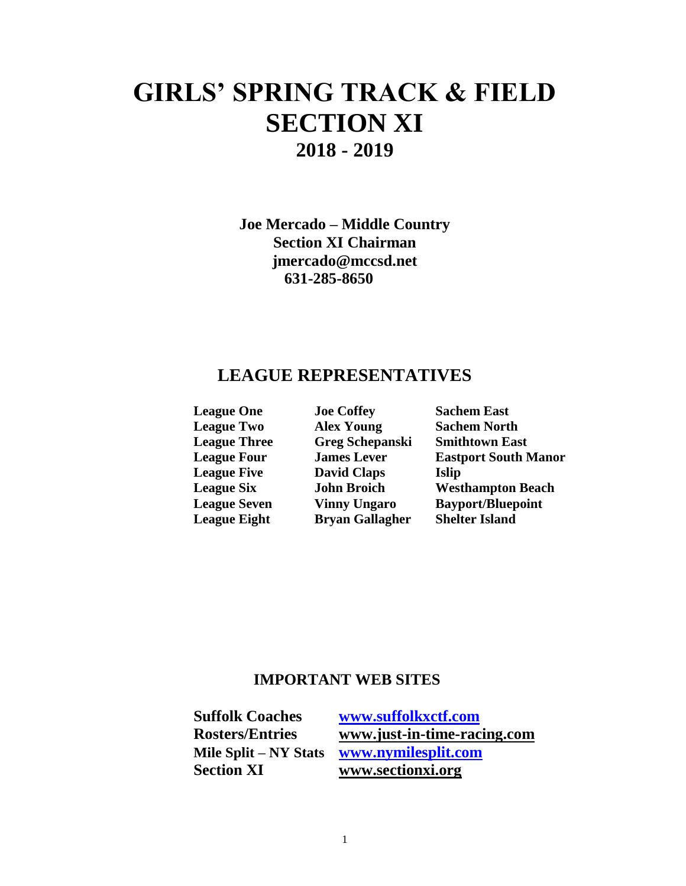# **GIRLS' SPRING TRACK & FIELD SECTION XI 2018 - 2019**

**Joe Mercado – Middle Country Section XI Chairman jmercado@mccsd.net 631-285-8650** 

## **LEAGUE REPRESENTATIVES**

| <b>League One</b>   | <b>Joe Coffey</b>      | <b>Sachem East</b>          |
|---------------------|------------------------|-----------------------------|
| <b>League Two</b>   | <b>Alex Young</b>      | <b>Sachem North</b>         |
| <b>League Three</b> | <b>Greg Schepanski</b> | <b>Smithtown East</b>       |
| <b>League Four</b>  | <b>James Lever</b>     | <b>Eastport South Manor</b> |
| <b>League Five</b>  | <b>David Claps</b>     | <b>Islip</b>                |
| <b>League Six</b>   | <b>John Broich</b>     | <b>Westhampton Beach</b>    |
| <b>League Seven</b> | <b>Vinny Ungaro</b>    | <b>Bayport/Bluepoint</b>    |
| <b>League Eight</b> | <b>Bryan Gallagher</b> | <b>Shelter Island</b>       |

## **IMPORTANT WEB SITES**

**Section XI [www.sectionxi.org](http://www.sectionxi.org/)**

**Suffolk Coaches [www.suffolkxctf.com](http://www.suffolkxctf.com/) Rosters/Entries [www.just-in-time-racing.com](http://www.just-in-time-racing.com/) Mile Split – NY Stats [www.nymilesplit.com](http://www.nymilesplit.com/)**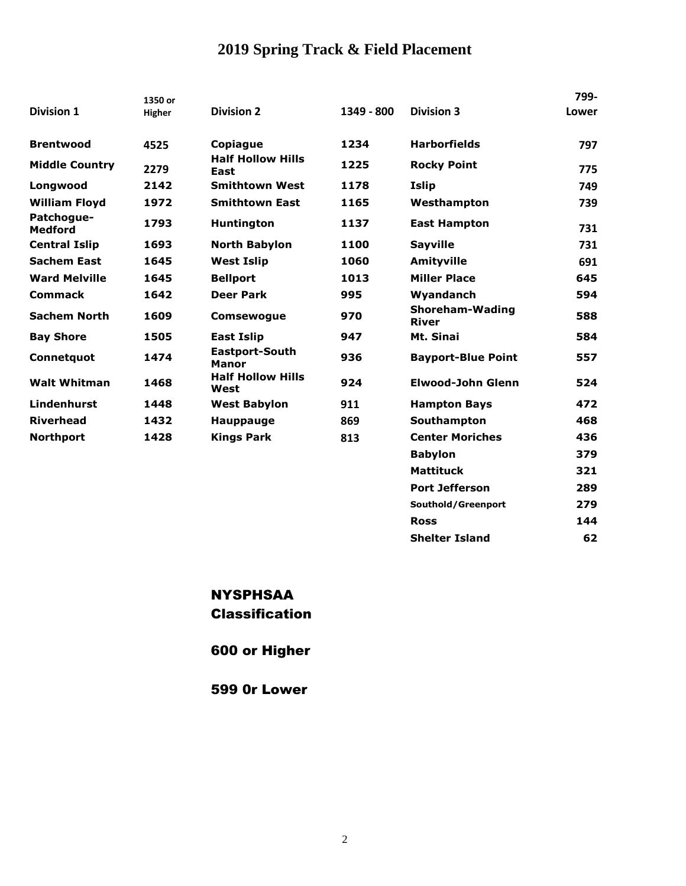# **2019 Spring Track & Field Placement**

|                              | 1350 or       |                                  |            |                                        | 799-  |
|------------------------------|---------------|----------------------------------|------------|----------------------------------------|-------|
| <b>Division 1</b>            | <b>Higher</b> | <b>Division 2</b>                | 1349 - 800 | <b>Division 3</b>                      | Lower |
| <b>Brentwood</b>             | 4525          | Copiague                         | 1234       | <b>Harborfields</b>                    | 797   |
| <b>Middle Country</b>        | 2279          | <b>Half Hollow Hills</b><br>East | 1225       | <b>Rocky Point</b>                     | 775   |
| Longwood                     | 2142          | <b>Smithtown West</b>            | 1178       | Islip                                  | 749   |
| <b>William Floyd</b>         | 1972          | <b>Smithtown East</b>            | 1165       | Westhampton                            | 739   |
| Patchogue-<br><b>Medford</b> | 1793          | <b>Huntington</b>                | 1137       | <b>East Hampton</b>                    | 731   |
| <b>Central Islip</b>         | 1693          | <b>North Babylon</b>             | 1100       | <b>Sayville</b>                        | 731   |
| <b>Sachem East</b>           | 1645          | <b>West Islip</b>                | 1060       | <b>Amityville</b>                      | 691   |
| <b>Ward Melville</b>         | 1645          | <b>Bellport</b>                  | 1013       | <b>Miller Place</b>                    | 645   |
| <b>Commack</b>               | 1642          | <b>Deer Park</b>                 | 995        | Wyandanch                              | 594   |
| <b>Sachem North</b>          | 1609          | <b>Comsewoque</b>                | 970        | <b>Shoreham-Wading</b><br><b>River</b> | 588   |
| <b>Bay Shore</b>             | 1505          | <b>East Islip</b>                | 947        | Mt. Sinai                              | 584   |
| Connetquot                   | 1474          | Eastport-South<br><b>Manor</b>   | 936        | <b>Bayport-Blue Point</b>              | 557   |
| <b>Walt Whitman</b>          | 1468          | <b>Half Hollow Hills</b><br>West | 924        | Elwood-John Glenn                      | 524   |
| Lindenhurst                  | 1448          | <b>West Babylon</b>              | 911        | <b>Hampton Bays</b>                    | 472   |
| <b>Riverhead</b>             | 1432          | <b>Hauppauge</b>                 | 869        | Southampton                            | 468   |
| <b>Northport</b>             | 1428          | <b>Kings Park</b>                | 813        | <b>Center Moriches</b>                 | 436   |
|                              |               |                                  |            | <b>Babylon</b>                         | 379   |
|                              |               |                                  |            | <b>Mattituck</b>                       | 321   |

## NYSPHSAA Classification

600 or Higher

599 0r Lower

**Port Jefferson 289 Southold/Greenport 279 Ross 144 Shelter Island 62**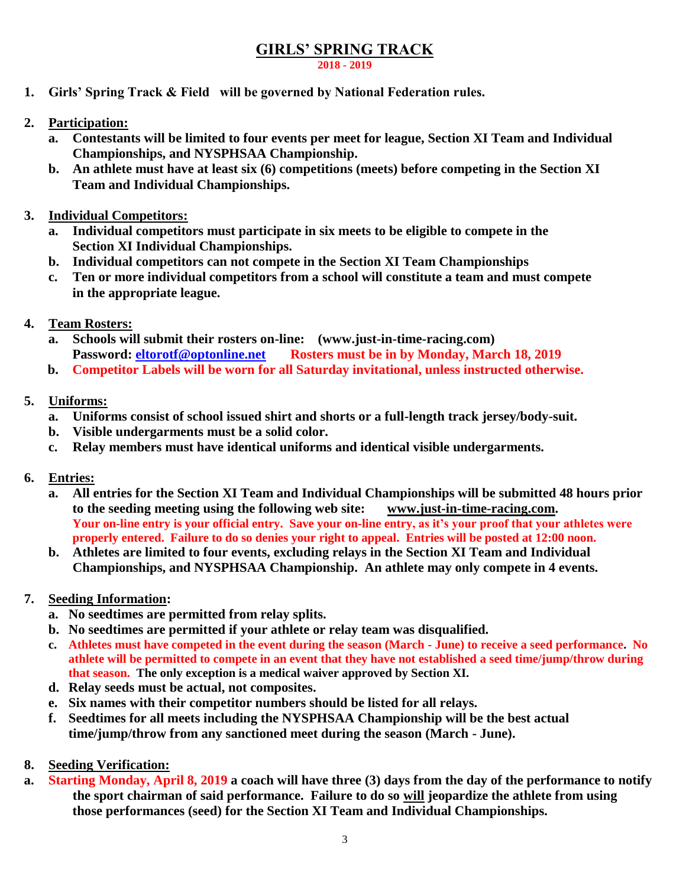## **GIRLS' SPRING TRACK**

**2018 - 2019**

- **1. Girls' Spring Track & Field will be governed by National Federation rules.**
- **2. Participation:**
	- **a. Contestants will be limited to four events per meet for league, Section XI Team and Individual Championships, and NYSPHSAA Championship.**
	- **b. An athlete must have at least six (6) competitions (meets) before competing in the Section XI Team and Individual Championships.**
- **3. Individual Competitors:**
	- **a. Individual competitors must participate in six meets to be eligible to compete in the Section XI Individual Championships.**
	- **b. Individual competitors can not compete in the Section XI Team Championships**
	- **c. Ten or more individual competitors from a school will constitute a team and must compete in the appropriate league.**
- **4. Team Rosters:**
	- **a. Schools will submit their rosters on-line: (www.just-in-time-racing.com) Password: [eltorotf@optonline.net](mailto:eltorotf@optonline.net) Rosters must be in by Monday, March 18, 2019**
	- **b. Competitor Labels will be worn for all Saturday invitational, unless instructed otherwise.**
- **5. Uniforms:**
	- **a. Uniforms consist of school issued shirt and shorts or a full-length track jersey/body-suit.**
	- **b. Visible undergarments must be a solid color.**
	- **c. Relay members must have identical uniforms and identical visible undergarments.**
- **6. Entries:**
	- **a. All entries for the Section XI Team and Individual Championships will be submitted 48 hours prior to the seeding meeting using the following web site: [www.just-in-time-racing.com.](http://www.just-in-time-racing.com/) Your on-line entry is your official entry. Save your on-line entry, as it's your proof that your athletes were properly entered. Failure to do so denies your right to appeal. Entries will be posted at 12:00 noon.**
	- **b. Athletes are limited to four events, excluding relays in the Section XI Team and Individual Championships, and NYSPHSAA Championship. An athlete may only compete in 4 events.**
- **7. Seeding Information:**
	- **a. No seedtimes are permitted from relay splits.**
	- **b. No seedtimes are permitted if your athlete or relay team was disqualified.**
	- **c. Athletes must have competed in the event during the season (March - June) to receive a seed performance. No athlete will be permitted to compete in an event that they have not established a seed time/jump/throw during that season. The only exception is a medical waiver approved by Section XI.**
	- **d. Relay seeds must be actual, not composites.**
	- **e. Six names with their competitor numbers should be listed for all relays.**
	- **f. Seedtimes for all meets including the NYSPHSAA Championship will be the best actual time/jump/throw from any sanctioned meet during the season (March - June).**
- **8. Seeding Verification:**
- **a. Starting Monday, April 8, 2019 a coach will have three (3) days from the day of the performance to notify the sport chairman of said performance. Failure to do so will jeopardize the athlete from using those performances (seed) for the Section XI Team and Individual Championships.**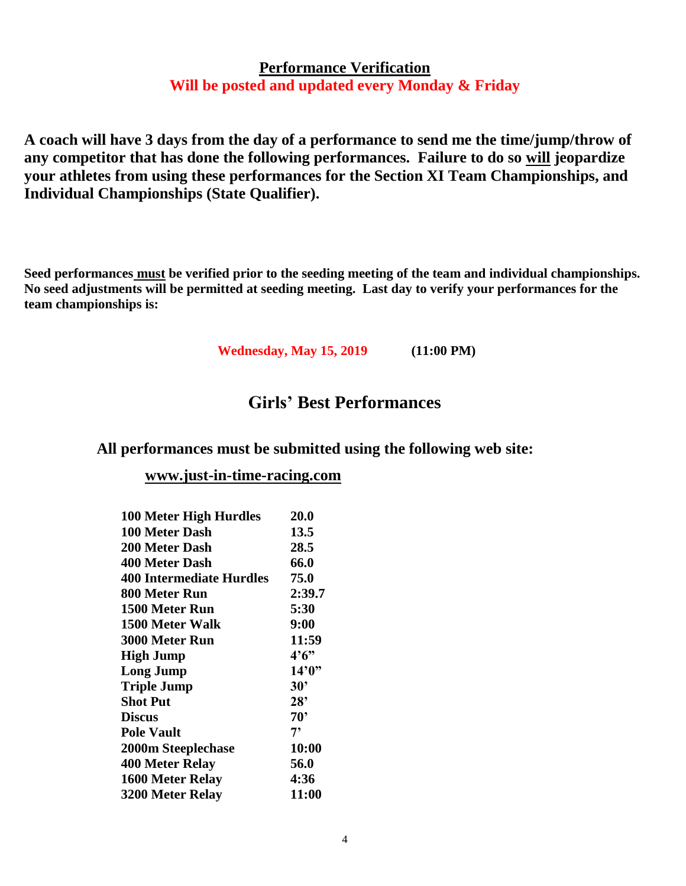## **Performance Verification Will be posted and updated every Monday & Friday**

**A coach will have 3 days from the day of a performance to send me the time/jump/throw of any competitor that has done the following performances. Failure to do so will jeopardize your athletes from using these performances for the Section XI Team Championships, and Individual Championships (State Qualifier).** 

**Seed performances must be verified prior to the seeding meeting of the team and individual championships. No seed adjustments will be permitted at seeding meeting. Last day to verify your performances for the team championships is:**

**Wednesday, May 15, 2019 (11:00 PM)**

## **Girls' Best Performances**

## **All performances must be submitted using the following web site:**

### **[www.just-in-time-racing.com](http://www.just-in-time-racing.com/)**

| <b>100 Meter High Hurdles</b> | 20.0         |
|-------------------------------|--------------|
| 100 Meter Dash                | 13.5         |
| <b>200 Meter Dash</b>         | 28.5         |
| <b>400 Meter Dash</b>         | 66.0         |
| 400 Intermediate Hurdles      | 75.0         |
| 800 Meter Run                 | 2:39.7       |
| 1500 Meter Run                | 5:30         |
| 1500 Meter Walk               | 9:00         |
| <b>3000 Meter Run</b>         | 11:59        |
| <b>High Jump</b>              | 4'6''        |
| <b>Long Jump</b>              | 14'0''       |
| <b>Triple Jump</b>            | $30^{\circ}$ |
| <b>Shot Put</b>               | $28^{\circ}$ |
| <b>Discus</b>                 | $70^{\circ}$ |
| <b>Pole Vault</b>             | 7,           |
| 2000m Steeplechase            | 10:00        |
| 400 Meter Relay               | 56.0         |
| 1600 Meter Relay              | 4:36         |
| 3200 Meter Relay              | 11:00        |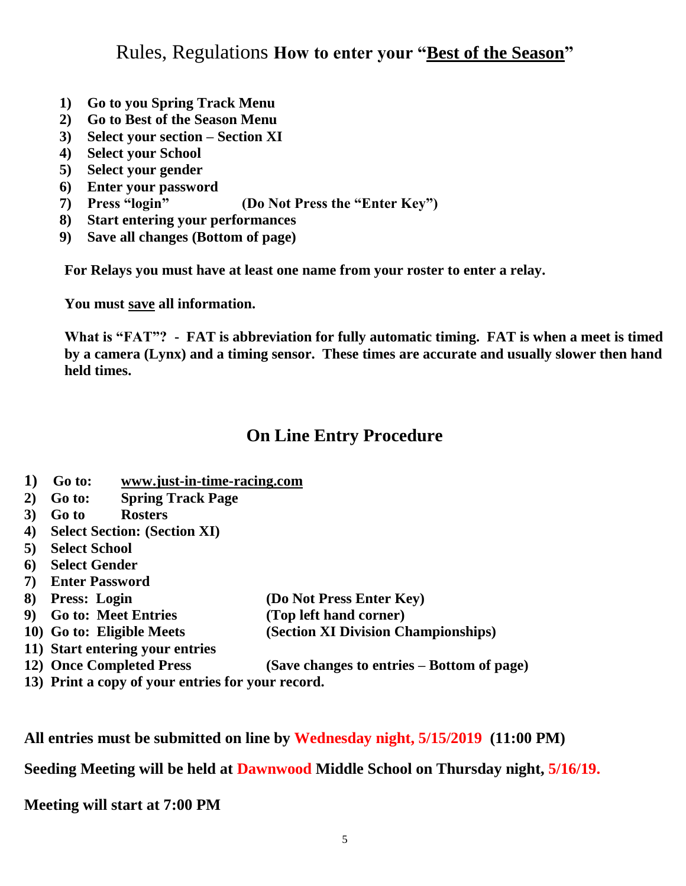Rules, Regulations **How to enter your "Best of the Season"**

- **1) Go to you Spring Track Menu**
- **2) Go to Best of the Season Menu**
- **3) Select your section – Section XI**
- **4) Select your School**
- **5) Select your gender**
- **6) Enter your password**
- **7) Press "login" (Do Not Press the "Enter Key")**
- **8) Start entering your performances**
- **9) Save all changes (Bottom of page)**

**For Relays you must have at least one name from your roster to enter a relay.**

**You must save all information.**

**What is "FAT"? - FAT is abbreviation for fully automatic timing. FAT is when a meet is timed by a camera (Lynx) and a timing sensor. These times are accurate and usually slower then hand held times.**

# **On Line Entry Procedure**

- **1) Go to: [www.just-in-time-racing.com](http://www.just-in-time-racing.com/)**
- **2) Go to: Spring Track Page**
- **3) Go to Rosters**
- **4) Select Section: (Section XI)**
- **5) Select School**
- **6) Select Gender**
- **7) Enter Password**
- **8) Press: Login (Do Not Press Enter Key)**
- **9) Go to: Meet Entries (Top left hand corner)**
- **10) Go to: Eligible Meets (Section XI Division Championships)**
- **11) Start entering your entries**
- **12) Once Completed Press (Save changes to entries – Bottom of page)**
- **13) Print a copy of your entries for your record.**

**All entries must be submitted on line by Wednesday night, 5/15/2019 (11:00 PM)**

**Seeding Meeting will be held at Dawnwood Middle School on Thursday night, 5/16/19.**

**Meeting will start at 7:00 PM**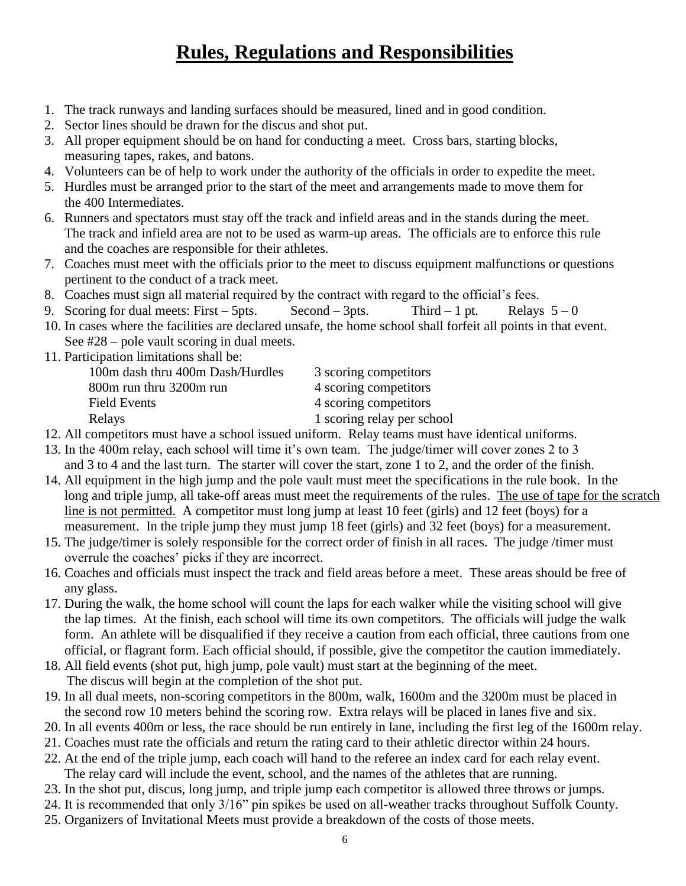# **Rules, Regulations and Responsibilities**

- 1. The track runways and landing surfaces should be measured, lined and in good condition.
- 2. Sector lines should be drawn for the discus and shot put.
- 3. All proper equipment should be on hand for conducting a meet. Cross bars, starting blocks, measuring tapes, rakes, and batons.
- 4. Volunteers can be of help to work under the authority of the officials in order to expedite the meet.
- 5. Hurdles must be arranged prior to the start of the meet and arrangements made to move them for the 400 Intermediates.
- 6. Runners and spectators must stay off the track and infield areas and in the stands during the meet. The track and infield area are not to be used as warm-up areas. The officials are to enforce this rule and the coaches are responsible for their athletes.
- 7. Coaches must meet with the officials prior to the meet to discuss equipment malfunctions or questions pertinent to the conduct of a track meet.
- 8. Coaches must sign all material required by the contract with regard to the official's fees.
- 9. Scoring for dual meets: First 5pts. Second 3pts. Third 1 pt. Relays  $5-0$
- 10. In cases where the facilities are declared unsafe, the home school shall forfeit all points in that event. See #28 – pole vault scoring in dual meets.
- 11. Participation limitations shall be:

| 100m dash thru 400m Dash/Hurdles | 3 scoring competitors      |
|----------------------------------|----------------------------|
| 800m run thru 3200m run          | 4 scoring competitors      |
| Field Events                     | 4 scoring competitors      |
| Relays                           | 1 scoring relay per school |

- 12. All competitors must have a school issued uniform. Relay teams must have identical uniforms.
- 13. In the 400m relay, each school will time it's own team. The judge/timer will cover zones 2 to 3 and 3 to 4 and the last turn. The starter will cover the start, zone 1 to 2, and the order of the finish.
- 14. All equipment in the high jump and the pole vault must meet the specifications in the rule book. In the long and triple jump, all take-off areas must meet the requirements of the rules. The use of tape for the scratch line is not permitted. A competitor must long jump at least 10 feet (girls) and 12 feet (boys) for a measurement. In the triple jump they must jump 18 feet (girls) and 32 feet (boys) for a measurement.
- 15. The judge/timer is solely responsible for the correct order of finish in all races. The judge /timer must overrule the coaches' picks if they are incorrect.
- 16. Coaches and officials must inspect the track and field areas before a meet. These areas should be free of any glass.
- 17. During the walk, the home school will count the laps for each walker while the visiting school will give the lap times. At the finish, each school will time its own competitors. The officials will judge the walk form. An athlete will be disqualified if they receive a caution from each official, three cautions from one official, or flagrant form. Each official should, if possible, give the competitor the caution immediately.
- 18. All field events (shot put, high jump, pole vault) must start at the beginning of the meet. The discus will begin at the completion of the shot put.
- 19. In all dual meets, non-scoring competitors in the 800m, walk, 1600m and the 3200m must be placed in the second row 10 meters behind the scoring row. Extra relays will be placed in lanes five and six.
- 20. In all events 400m or less, the race should be run entirely in lane, including the first leg of the 1600m relay.
- 21. Coaches must rate the officials and return the rating card to their athletic director within 24 hours.
- 22. At the end of the triple jump, each coach will hand to the referee an index card for each relay event. The relay card will include the event, school, and the names of the athletes that are running.
- 23. In the shot put, discus, long jump, and triple jump each competitor is allowed three throws or jumps.
- 24. It is recommended that only 3/16" pin spikes be used on all-weather tracks throughout Suffolk County.
- 25. Organizers of Invitational Meets must provide a breakdown of the costs of those meets.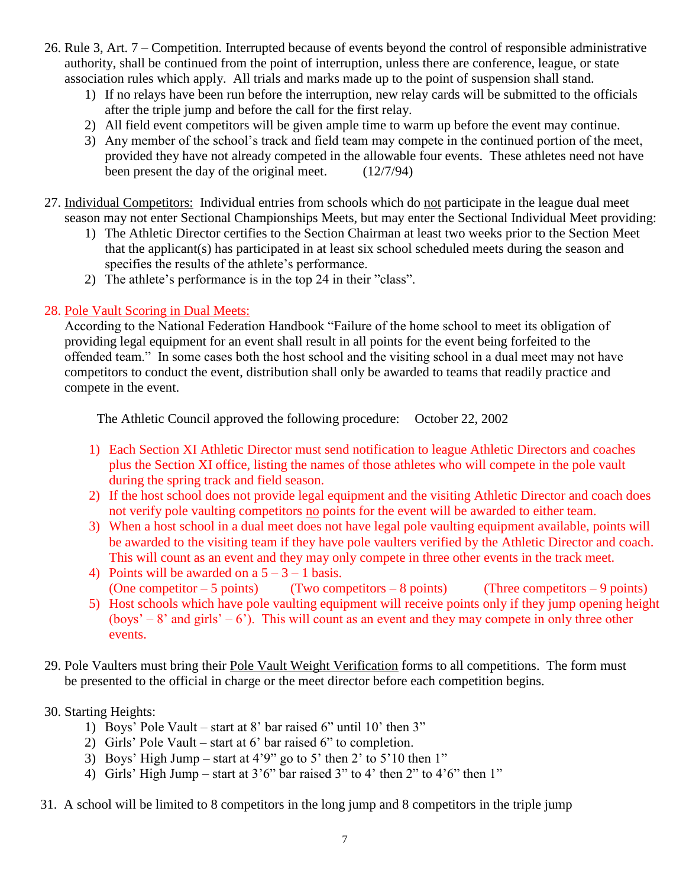- 26. Rule 3, Art. 7 Competition. Interrupted because of events beyond the control of responsible administrative authority, shall be continued from the point of interruption, unless there are conference, league, or state association rules which apply. All trials and marks made up to the point of suspension shall stand.
	- 1) If no relays have been run before the interruption, new relay cards will be submitted to the officials after the triple jump and before the call for the first relay.
	- 2) All field event competitors will be given ample time to warm up before the event may continue.
	- 3) Any member of the school's track and field team may compete in the continued portion of the meet, provided they have not already competed in the allowable four events. These athletes need not have been present the day of the original meet. (12/7/94)
- 27. Individual Competitors: Individual entries from schools which do not participate in the league dual meet
	- season may not enter Sectional Championships Meets, but may enter the Sectional Individual Meet providing:
		- 1) The Athletic Director certifies to the Section Chairman at least two weeks prior to the Section Meet that the applicant(s) has participated in at least six school scheduled meets during the season and specifies the results of the athlete's performance.
		- 2) The athlete's performance is in the top 24 in their "class".

### 28. Pole Vault Scoring in Dual Meets:

According to the National Federation Handbook "Failure of the home school to meet its obligation of providing legal equipment for an event shall result in all points for the event being forfeited to the offended team." In some cases both the host school and the visiting school in a dual meet may not have competitors to conduct the event, distribution shall only be awarded to teams that readily practice and compete in the event.

The Athletic Council approved the following procedure: October 22, 2002

- 1) Each Section XI Athletic Director must send notification to league Athletic Directors and coaches plus the Section XI office, listing the names of those athletes who will compete in the pole vault during the spring track and field season.
- 2) If the host school does not provide legal equipment and the visiting Athletic Director and coach does not verify pole vaulting competitors no points for the event will be awarded to either team.
- 3) When a host school in a dual meet does not have legal pole vaulting equipment available, points will be awarded to the visiting team if they have pole vaulters verified by the Athletic Director and coach. This will count as an event and they may only compete in three other events in the track meet.
- 4) Points will be awarded on a  $5 3 1$  basis. (One competitor  $-5$  points) (Two competitors  $-8$  points) (Three competitors  $-9$  points)
- 5) Host schools which have pole vaulting equipment will receive points only if they jump opening height (boys' – 8' and girls' – 6'). This will count as an event and they may compete in only three other events.
- 29. Pole Vaulters must bring their Pole Vault Weight Verification forms to all competitions. The form must be presented to the official in charge or the meet director before each competition begins.
- 30. Starting Heights:
	- 1) Boys' Pole Vault start at 8' bar raised 6" until 10' then 3"
	- 2) Girls' Pole Vault start at 6' bar raised 6" to completion.
	- 3) Boys' High Jump start at  $4'9''$  go to 5' then 2' to 5'10 then 1"
	- 4) Girls' High Jump start at  $3'6''$  bar raised  $3''$  to  $4'$  then  $2''$  to  $4'6''$  then  $1''$
- 31. A school will be limited to 8 competitors in the long jump and 8 competitors in the triple jump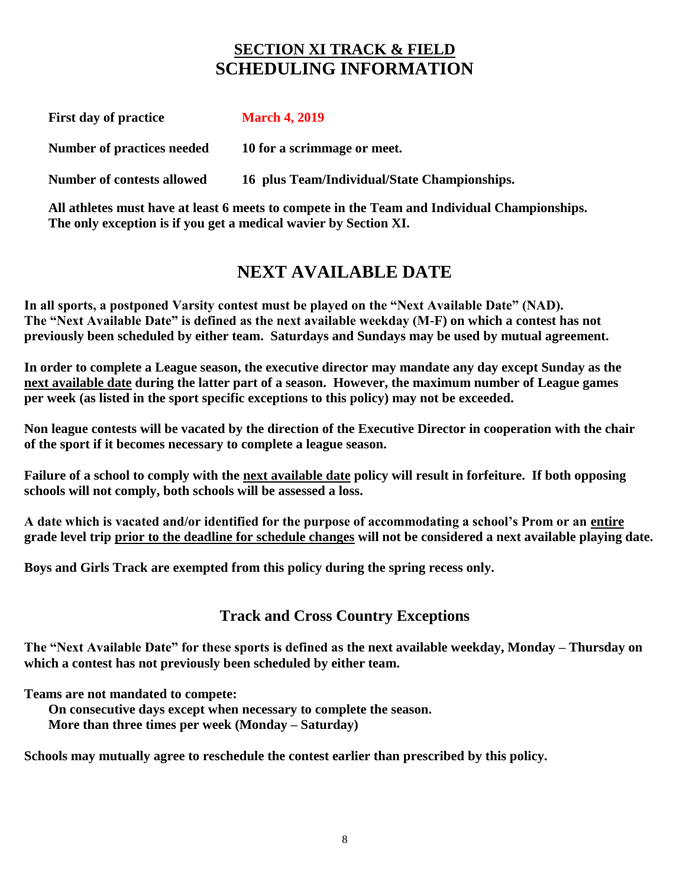# **SECTION XI TRACK & FIELD SCHEDULING INFORMATION**

| <b>First day of practice</b>      | <b>March 4, 2019</b>                         |
|-----------------------------------|----------------------------------------------|
| Number of practices needed        | 10 for a scrimmage or meet.                  |
| <b>Number of contests allowed</b> | 16 plus Team/Individual/State Championships. |

**All athletes must have at least 6 meets to compete in the Team and Individual Championships. The only exception is if you get a medical wavier by Section XI.**

# **NEXT AVAILABLE DATE**

**In all sports, a postponed Varsity contest must be played on the "Next Available Date" (NAD). The "Next Available Date" is defined as the next available weekday (M-F) on which a contest has not previously been scheduled by either team. Saturdays and Sundays may be used by mutual agreement.** 

**In order to complete a League season, the executive director may mandate any day except Sunday as the next available date during the latter part of a season. However, the maximum number of League games per week (as listed in the sport specific exceptions to this policy) may not be exceeded.**

**Non league contests will be vacated by the direction of the Executive Director in cooperation with the chair of the sport if it becomes necessary to complete a league season.**

**Failure of a school to comply with the next available date policy will result in forfeiture. If both opposing schools will not comply, both schools will be assessed a loss.**

**A date which is vacated and/or identified for the purpose of accommodating a school's Prom or an entire grade level trip prior to the deadline for schedule changes will not be considered a next available playing date.**

**Boys and Girls Track are exempted from this policy during the spring recess only.**

## **Track and Cross Country Exceptions**

**The "Next Available Date" for these sports is defined as the next available weekday, Monday – Thursday on which a contest has not previously been scheduled by either team.**

**Teams are not mandated to compete:**

**On consecutive days except when necessary to complete the season.**

**More than three times per week (Monday – Saturday)** 

**Schools may mutually agree to reschedule the contest earlier than prescribed by this policy.**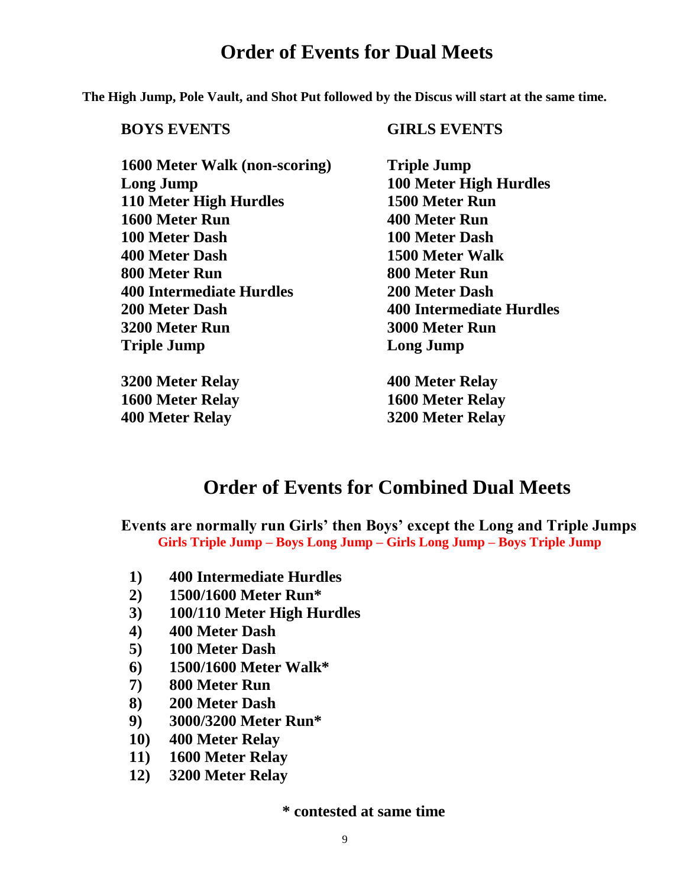# **Order of Events for Dual Meets**

**The High Jump, Pole Vault, and Shot Put followed by the Discus will start at the same time.**

## **BOYS EVENTS GIRLS EVENTS**

**1600 Meter Walk (non-scoring) Triple Jump Long Jump 100 Meter High Hurdles 110 Meter High Hurdles 1500 Meter Run 1600 Meter Run 400 Meter Run 100 Meter Dash 100 Meter Dash 400 Meter Dash 1500 Meter Walk 800 Meter Run 800 Meter Run 400 Intermediate Hurdles 200 Meter Dash 200 Meter Dash 400 Intermediate Hurdles 3200 Meter Run 3000 Meter Run Triple Jump Long Jump**

**3200 Meter Relay 400 Meter Relay 1600 Meter Relay 1600 Meter Relay 400 Meter Relay 3200 Meter Relay**

# **Order of Events for Combined Dual Meets**

**Events are normally run Girls' then Boys' except the Long and Triple Jumps Girls Triple Jump – Boys Long Jump – Girls Long Jump – Boys Triple Jump**

- **1) 400 Intermediate Hurdles**
- **2) 1500/1600 Meter Run\***
- **3) 100/110 Meter High Hurdles**
- **4) 400 Meter Dash**
- **5) 100 Meter Dash**
- **6) 1500/1600 Meter Walk\***
- **7) 800 Meter Run**
- **8) 200 Meter Dash**
- **9) 3000/3200 Meter Run\***
- **10) 400 Meter Relay**
- **11) 1600 Meter Relay**
- **12) 3200 Meter Relay**

**\* contested at same time**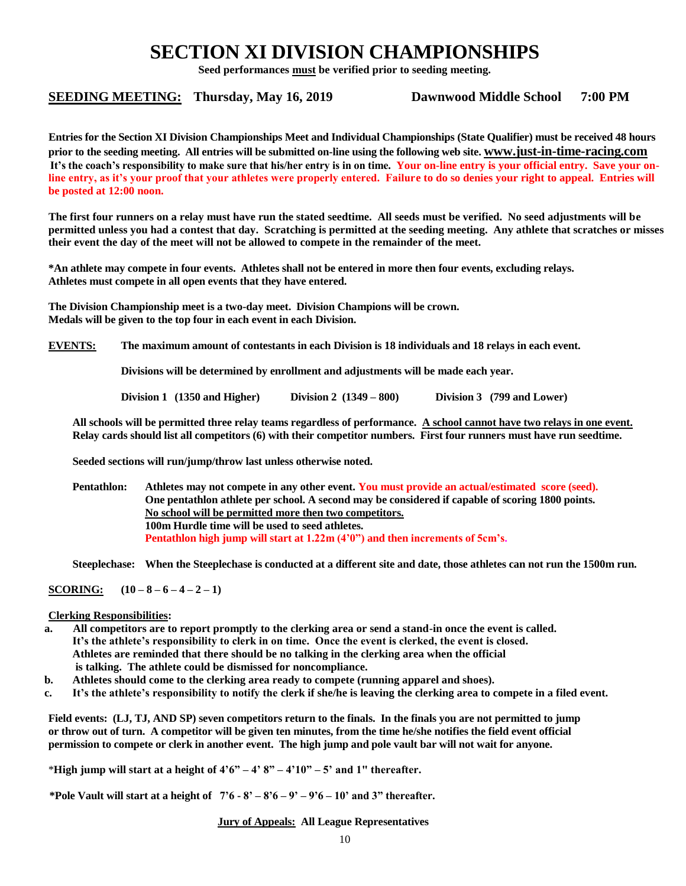# **SECTION XI DIVISION CHAMPIONSHIPS**

**Seed performances must be verified prior to seeding meeting.** 

#### **SEEDING MEETING: Thursday, May 16, 2019 Dawnwood Middle School 7:00 PM**

**Entries for the Section XI Division Championships Meet and Individual Championships (State Qualifier) must be received 48 hours prior to the seeding meeting. All entries will be submitted on-line using the following web site. [www.just-in-time-racing.com](http://www.just-in-time-racing.com/) It's the coach's responsibility to make sure that his/her entry is in on time. Your on-line entry is your official entry. Save your online entry, as it's your proof that your athletes were properly entered. Failure to do so denies your right to appeal. Entries will be posted at 12:00 noon.**

**The first four runners on a relay must have run the stated seedtime. All seeds must be verified. No seed adjustments will be permitted unless you had a contest that day. Scratching is permitted at the seeding meeting. Any athlete that scratches or misses their event the day of the meet will not be allowed to compete in the remainder of the meet.**

**\*An athlete may compete in four events. Athletes shall not be entered in more then four events, excluding relays. Athletes must compete in all open events that they have entered.**

**The Division Championship meet is a two-day meet. Division Champions will be crown. Medals will be given to the top four in each event in each Division.**

**EVENTS: The maximum amount of contestants in each Division is 18 individuals and 18 relays in each event.**

**Divisions will be determined by enrollment and adjustments will be made each year.**

**Division 1 (1350 and Higher) Division 2 (1349 – 800) Division 3 (799 and Lower)**

**All schools will be permitted three relay teams regardless of performance. A school cannot have two relays in one event. Relay cards should list all competitors (6) with their competitor numbers. First four runners must have run seedtime.**

**Seeded sections will run/jump/throw last unless otherwise noted.**

**Pentathlon: Athletes may not compete in any other event. You must provide an actual/estimated score (seed). One pentathlon athlete per school. A second may be considered if capable of scoring 1800 points. No school will be permitted more then two competitors. 100m Hurdle time will be used to seed athletes. Pentathlon high jump will start at 1.22m (4'0") and then increments of 5cm's.**

**Steeplechase: When the Steeplechase is conducted at a different site and date, those athletes can not run the 1500m run.**

**SCORING:**  $(10-8-6-4-2-1)$ 

#### **Clerking Responsibilities:**

- **a. All competitors are to report promptly to the clerking area or send a stand-in once the event is called. It's the athlete's responsibility to clerk in on time. Once the event is clerked, the event is closed. Athletes are reminded that there should be no talking in the clerking area when the official is talking. The athlete could be dismissed for noncompliance.**
- **b. Athletes should come to the clerking area ready to compete (running apparel and shoes).**
- **c. It's the athlete's responsibility to notify the clerk if she/he is leaving the clerking area to compete in a filed event.**

**Field events: (LJ, TJ, AND SP) seven competitors return to the finals. In the finals you are not permitted to jump or throw out of turn. A competitor will be given ten minutes, from the time he/she notifies the field event official permission to compete or clerk in another event. The high jump and pole vault bar will not wait for anyone.**

\***High jump will start at a height of 4'6" – 4' 8" – 4'10" – 5' and 1" thereafter.**

**\*Pole Vault will start at a height of 7'6 - 8' – 8'6 – 9' – 9'6 – 10' and 3" thereafter.** 

**Jury of Appeals: All League Representatives**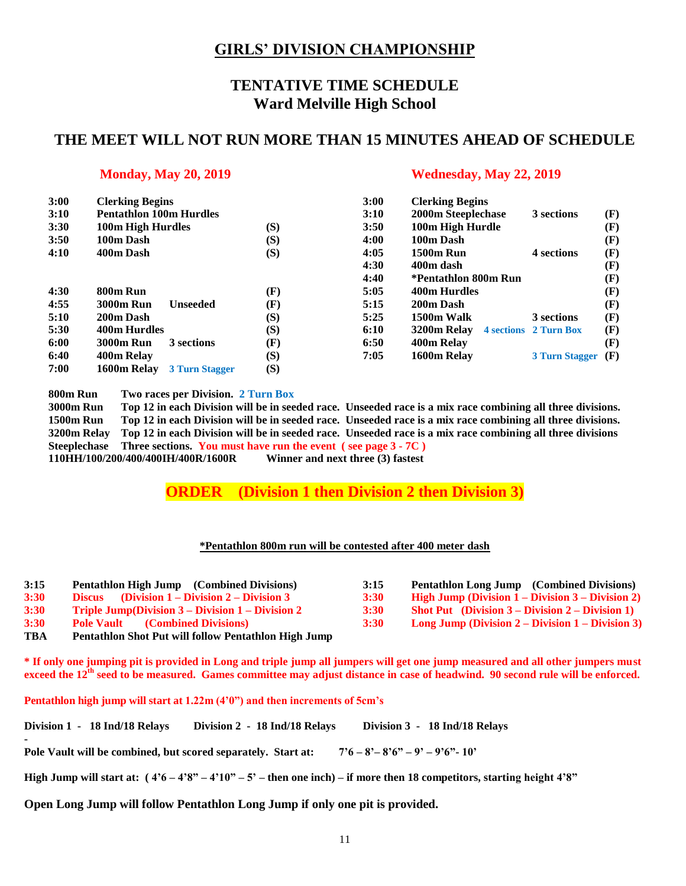## **GIRLS' DIVISION CHAMPIONSHIP**

## **TENTATIVE TIME SCHEDULE Ward Melville High School**

### **THE MEET WILL NOT RUN MORE THAN 15 MINUTES AHEAD OF SCHEDULE**

|                                      |                                                           | 3:00                                                               | <b>Clerking Begins</b> |
|--------------------------------------|-----------------------------------------------------------|--------------------------------------------------------------------|------------------------|
| <b>Pentathlon 100m Hurdles</b>       |                                                           | 3:10                                                               | 2000m Steeplech        |
|                                      |                                                           | 3:50                                                               | 100m High Hur          |
| 100m Dash                            |                                                           | 4:00                                                               | 100m Dash              |
| 400m Dash                            |                                                           | 4:05                                                               | <b>1500m Run</b>       |
|                                      |                                                           | 4:30                                                               | 400m dash              |
|                                      |                                                           | 4:40                                                               | *Pentathlon 800        |
| 800m Run                             |                                                           | 5:05                                                               | 400m Hurdles           |
| <b>3000m Run</b><br><b>Unseeded</b>  |                                                           | 5:15                                                               | 200m Dash              |
| 200m Dash                            |                                                           | 5:25                                                               | 1500m Walk             |
| <b>400m Hurdles</b>                  |                                                           | 6:10                                                               | 3200m Relay<br>4       |
| <b>3000m Run</b><br>3 sections       |                                                           | 6:50                                                               | 400m Relay             |
|                                      |                                                           | 7:05                                                               | 1600m Relay            |
| 1600m Relay<br><b>3 Turn Stagger</b> |                                                           |                                                                    |                        |
|                                      | <b>Clerking Begins</b><br>100m High Hurdles<br>400m Relay | (S)<br>(S)<br>(S)<br>(F)<br>(F)<br>(S)<br>(S)<br>(F)<br>(S)<br>(S) |                        |

#### **Monday, May 20, 2019 Wednesday, May 22, 2019**

| 3:00 | <b>Clerking Begins</b>              |     | 3:00 | <b>Clerking Begins</b> |                       |     |
|------|-------------------------------------|-----|------|------------------------|-----------------------|-----|
| 3:10 | <b>Pentathlon 100m Hurdles</b>      |     | 3:10 | 2000m Steeplechase     | 3 sections            | (F) |
| 3:30 | 100m High Hurdles                   | (S) | 3:50 | 100m High Hurdle       |                       | (F) |
| 3:50 | 100m Dash                           | (S) | 4:00 | 100m Dash              |                       | (F) |
| 4:10 | 400m Dash                           | (S) | 4:05 | <b>1500m Run</b>       | 4 sections            | (F) |
|      |                                     |     | 4:30 | 400m dash              |                       | (F) |
|      |                                     |     | 4:40 | *Pentathlon 800m Run   |                       | (F) |
| 4:30 | 800m Run                            | (F) | 5:05 | 400m Hurdles           |                       | (F) |
| 4:55 | <b>3000m Run</b><br><b>Unseeded</b> | (F) | 5:15 | 200m Dash              |                       | (F) |
| 5:10 | 200m Dash                           | (S) | 5:25 | 1500m Walk             | 3 sections            | (F) |
| 5:30 | 400m Hurdles                        | (S) | 6:10 | 3200m Relay            | 4 sections 2 Turn Box | (F) |
| 6:00 | <b>3000m Run</b><br>3 sections      | (F) | 6:50 | 400m Relay             |                       | (F) |
| 6:40 | 400m Relay                          | (S) | 7:05 | 1600m Relay            | <b>3 Turn Stagger</b> | (F) |
|      |                                     |     |      |                        |                       |     |

**800m Run Two races per Division. 2 Turn Box**

**3000m Run Top 12 in each Division will be in seeded race. Unseeded race is a mix race combining all three divisions. 1500m Run Top 12 in each Division will be in seeded race. Unseeded race is a mix race combining all three divisions. 3200m Relay Top 12 in each Division will be in seeded race. Unseeded race is a mix race combining all three divisions Steeplechase Three sections. You must have run the event ( see page 3 - 7C ) 110HH/100/200/400/400IH/400R/1600R Winner and next three (3) fastest**

**ORDER (Division 1 then Division 2 then Division 3)**

#### **\*Pentathlon 800m run will be contested after 400 meter dash**

| 3:15 | <b>Pentathlon High Jump</b> (Combined Divisions)            | 3:15        | <b>Pentathlon Long Jump</b> (Combined Divisions)           |
|------|-------------------------------------------------------------|-------------|------------------------------------------------------------|
| 3:30 | Discus (Division $1 -$ Division $2 -$ Division 3            | <b>3:30</b> | High Jump (Division $1 -$ Division $3 -$ Division 2)       |
| 3:30 | <b>Triple Jump(Division 3 – Division 1 – Division 2</b>     | 3:30        | <b>Shot Put</b> (Division $3 -$ Division $2 -$ Division 1) |
| 3:30 | <b>Pole Vault</b><br><b>(Combined Divisions)</b>            | 3:30        | Long Jump (Division $2 - Division 1 - Division 3$ )        |
| TBA  | <b>Pentathlon Shot Put will follow Pentathlon High Jump</b> |             |                                                            |

**\* If only one jumping pit is provided in Long and triple jump all jumpers will get one jump measured and all other jumpers must exceed the 12th seed to be measured. Games committee may adjust distance in case of headwind. 90 second rule will be enforced.**

**Pentathlon high jump will start at 1.22m (4'0") and then increments of 5cm's**

**-**

| Division 1 - 18 Ind/18 Relays |  | Division 2 - 18 Ind/18 Relays |  | Division 3 - 18 Ind/18 Relays |
|-------------------------------|--|-------------------------------|--|-------------------------------|
|-------------------------------|--|-------------------------------|--|-------------------------------|

**Pole Vault will be combined, but scored separately. Start at: 7'6 – 8'– 8'6" – 9' – 9'6"- 10'**

**High Jump will start at: ( 4'6 – 4'8" – 4'10" – 5' – then one inch) – if more then 18 competitors, starting height 4'8"**

**Open Long Jump will follow Pentathlon Long Jump if only one pit is provided.**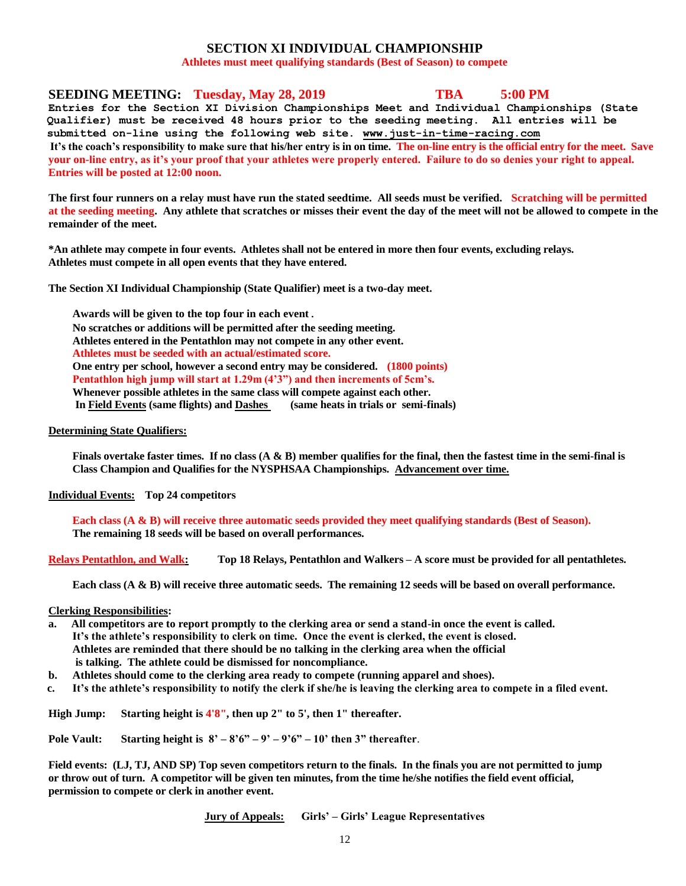#### **SECTION XI INDIVIDUAL CHAMPIONSHIP**

**Athletes must meet qualifying standards (Best of Season) to compete**

#### **SEEDING MEETING: Tuesday, May 28, 2019 TBA 5:00 PM**

**Entries for the Section XI Division Championships Meet and Individual Championships (State Qualifier) must be received 48 hours prior to the seeding meeting. All entries will be submitted on-line using the following web site. [www.just-in-time-racing.com](http://www.just-in-time-racing.com/) It's the coach's responsibility to make sure that his/her entry is in on time. The on-line entry is the official entry for the meet. Save your on-line entry, as it's your proof that your athletes were properly entered. Failure to do so denies your right to appeal. Entries will be posted at 12:00 noon.**

**The first four runners on a relay must have run the stated seedtime. All seeds must be verified. Scratching will be permitted at the seeding meeting. Any athlete that scratches or misses their event the day of the meet will not be allowed to compete in the remainder of the meet.**

**\*An athlete may compete in four events. Athletes shall not be entered in more then four events, excluding relays. Athletes must compete in all open events that they have entered.**

**The Section XI Individual Championship (State Qualifier) meet is a two-day meet.** 

**Awards will be given to the top four in each event. No scratches or additions will be permitted after the seeding meeting. Athletes entered in the Pentathlon may not compete in any other event. Athletes must be seeded with an actual/estimated score. One entry per school, however a second entry may be considered. (1800 points) Pentathlon high jump will start at 1.29m (4'3") and then increments of 5cm's. Whenever possible athletes in the same class will compete against each other. In Field Events (same flights) and Dashes (same heats in trials or semi-finals)**

#### **Determining State Qualifiers:**

**Finals overtake faster times. If no class (A & B) member qualifies for the final, then the fastest time in the semi-final is Class Champion and Qualifies for the NYSPHSAA Championships. Advancement over time.**

#### **Individual Events: Top 24 competitors**

**Each class (A & B) will receive three automatic seeds provided they meet qualifying standards (Best of Season). The remaining 18 seeds will be based on overall performances.**

**Relays Pentathlon, and Walk: Top 18 Relays, Pentathlon and Walkers – A score must be provided for all pentathletes.**

**Each class (A & B) will receive three automatic seeds. The remaining 12 seeds will be based on overall performance.**

#### **Clerking Responsibilities:**

- **a. All competitors are to report promptly to the clerking area or send a stand-in once the event is called. It's the athlete's responsibility to clerk on time. Once the event is clerked, the event is closed. Athletes are reminded that there should be no talking in the clerking area when the official is talking. The athlete could be dismissed for noncompliance.**
- **b. Athletes should come to the clerking area ready to compete (running apparel and shoes).**
- **c. It's the athlete's responsibility to notify the clerk if she/he is leaving the clerking area to compete in a filed event.**

**High Jump: Starting height is 4'8", then up 2" to 5', then 1" thereafter.** 

**Pole Vault:** Starting height is  $8' - 8'6'' - 9' - 9'6'' - 10'$  then 3" thereafter.

 **Field events: (LJ, TJ, AND SP) Top seven competitors return to the finals. In the finals you are not permitted to jump or throw out of turn. A competitor will be given ten minutes, from the time he/she notifies the field event official, permission to compete or clerk in another event.**

**Jury of Appeals: Girls' – Girls' League Representatives**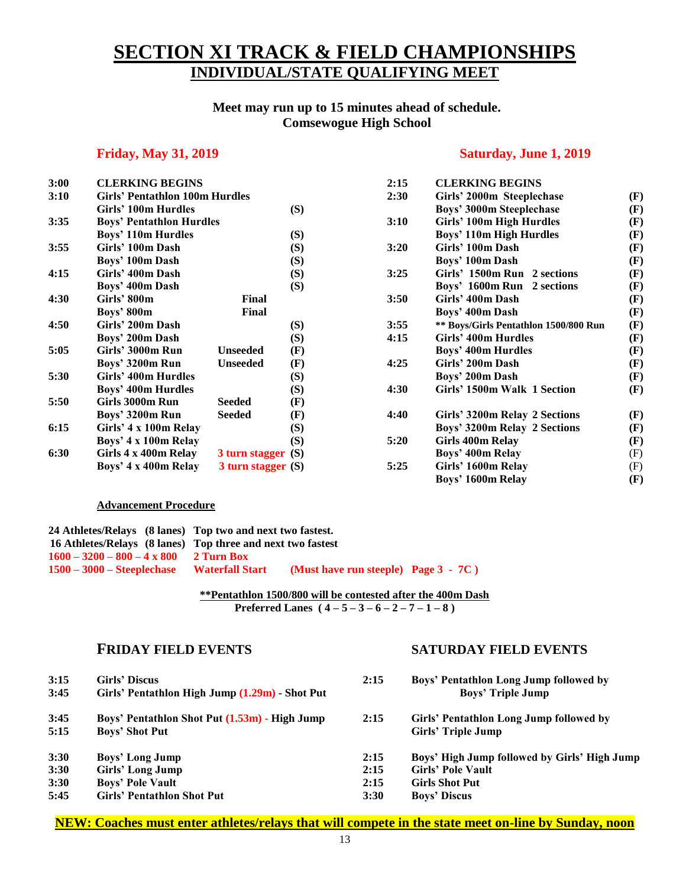# **SECTION XI TRACK & FIELD CHAMPIONSHIPS INDIVIDUAL/STATE QUALIFYING MEET**

#### **Meet may run up to 15 minutes ahead of schedule. Comsewogue High School**

#### **Friday, May 31, 2019 Saturday, June 1, 2019**

**3:00 CLERKING BEGINS 2:15 CLERKING BEGINS**

| 3:00 | <b>CLERKING BEGINS</b>                |                    |     | 2:15 | <b>CLERKING BEGINS</b>                |     |
|------|---------------------------------------|--------------------|-----|------|---------------------------------------|-----|
| 3:10 | <b>Girls' Pentathlon 100m Hurdles</b> |                    |     | 2:30 | Girls' 2000m Steeplechase             | (F) |
|      | Girls' 100m Hurdles                   |                    | (S) |      | Boys' 3000m Steeplechase              | (F) |
| 3:35 | <b>Boys' Pentathlon Hurdles</b>       |                    |     | 3:10 | Girls' 100m High Hurdles              | (F) |
|      | <b>Boys' 110m Hurdles</b>             |                    | (S) |      | <b>Boys' 110m High Hurdles</b>        | (F) |
| 3:55 | Girls' 100m Dash                      |                    | (S) | 3:20 | Girls' 100m Dash                      | (F) |
|      | Boys' 100m Dash                       |                    | (S) |      | Boys' 100m Dash                       | (F) |
| 4:15 | Girls' 400m Dash                      |                    | (S) | 3:25 | Girls' 1500m Run 2 sections           | (F) |
|      | Boys' 400m Dash                       |                    | (S) |      | Boys' 1600m Run 2 sections            | (F) |
| 4:30 | Girls' 800m                           | Final              |     | 3:50 | Girls' 400m Dash                      | (F) |
|      | Boys' 800m                            | Final              |     |      | Boys' 400m Dash                       | (F) |
| 4:50 | Girls' 200m Dash                      |                    | (S) | 3:55 | ** Boys/Girls Pentathlon 1500/800 Run | (F) |
|      | Boys' 200m Dash                       |                    | (S) | 4:15 | Girls' 400m Hurdles                   | (F) |
| 5:05 | Girls' 3000m Run                      | <b>Unseeded</b>    | (F) |      | Boys' 400m Hurdles                    | (F) |
|      | Boys' 3200m Run                       | <b>Unseeded</b>    | (F) | 4:25 | Girls' 200m Dash                      | (F) |
| 5:30 | Girls' 400m Hurdles                   |                    | (S) |      | Boys' 200m Dash                       | (F) |
|      | Boys' 400m Hurdles                    |                    | (S) | 4:30 | Girls' 1500m Walk 1 Section           | (F) |
| 5:50 | Girls 3000m Run                       | <b>Seeded</b>      | (F) |      |                                       |     |
|      | Boys' 3200m Run                       | <b>Seeded</b>      | (F) | 4:40 | Girls' 3200m Relay 2 Sections         | (F) |
| 6:15 | Girls' 4 x 100m Relay                 |                    | (S) |      | Boys' 3200m Relay 2 Sections          | (F) |
|      | Boys' 4 x 100m Relay                  |                    | (S) | 5:20 | Girls 400m Relay                      | (F) |
| 6:30 | Girls 4 x 400m Relay                  | 3 turn stagger (S) |     |      | Boys' 400m Relay                      | (F) |
|      | Boys' 4 x 400m Relay                  | 3 turn stagger (S) |     | 5:25 | Girls' 1600m Relay                    | (F) |

| 3:10 | Girls' Pentathion 100m Hurdles  |                        |     | 2:30 | Girls' 2000m Steeplechase             | (F) |
|------|---------------------------------|------------------------|-----|------|---------------------------------------|-----|
|      | Girls' 100m Hurdles             |                        | (S) |      | Boys' 3000m Steeplechase              | (F) |
| 3:35 | <b>Boys' Pentathlon Hurdles</b> |                        |     | 3:10 | Girls' 100m High Hurdles              | (F) |
|      | <b>Boys' 110m Hurdles</b>       |                        | (S) |      | <b>Boys' 110m High Hurdles</b>        | (F) |
| 3:55 | Girls' 100m Dash                |                        | (S) | 3:20 | Girls' 100m Dash                      | (F) |
|      | Boys' 100m Dash                 |                        | (S) |      | Boys' 100m Dash                       | (F) |
| 4:15 | Girls' 400m Dash                |                        | (S) | 3:25 | Girls' 1500m Run 2 sections           | (F) |
|      | Boys' 400m Dash                 |                        | (S) |      | Boys' 1600m Run 2 sections            | (F) |
| 4:30 | Girls' 800m                     | Final                  |     | 3:50 | Girls' 400m Dash                      | (F) |
|      | Boys' 800m                      | Final                  |     |      | Boys' 400m Dash                       | (F) |
| 4:50 | Girls' 200m Dash                |                        | (S) | 3:55 | ** Boys/Girls Pentathlon 1500/800 Run | (F) |
|      | Boys' 200m Dash                 |                        | (S) | 4:15 | Girls' 400m Hurdles                   | (F) |
| 5:05 | Girls' 3000m Run                | <b>Unseeded</b>        | (F) |      | Boys' 400m Hurdles                    | (F) |
|      | Boys' 3200m Run                 | <b>Unseeded</b>        | (F) | 4:25 | Girls' 200m Dash                      | (F) |
| 5:30 | Girls' 400m Hurdles             |                        | (S) |      | Boys' 200m Dash                       | (F) |
|      | Boys' 400m Hurdles              |                        | (S) | 4:30 | Girls' 1500m Walk 1 Section           | (F) |
| 5:50 | Girls 3000m Run                 | <b>Seeded</b>          | (F) |      |                                       |     |
|      | Boys' 3200m Run                 | <b>Seeded</b>          | (F) | 4:40 | Girls' 3200m Relay 2 Sections         | (F) |
| 6:15 | Girls' 4 x 100m Relay           |                        | (S) |      | Boys' 3200m Relay 2 Sections          | (F) |
|      | Boys' 4 x 100m Relay            |                        | (S) | 5:20 | Girls 400m Relay                      | (F) |
| 6:30 | Girls 4 x 400m Relay            | $3$ turn stagger $(S)$ |     |      | Boys' 400m Relay                      | (F) |
|      | Boys' 4 x 400m Relay            | 3 turn stagger (S)     |     | 5:25 | Girls' 1600m Relay                    | (F) |
|      |                                 |                        |     |      | Boys' 1600m Relay                     | (F) |

#### **Advancement Procedure**

|                                                 | 24 Athletes/Relays (8 lanes) Top two and next two fastest.        |
|-------------------------------------------------|-------------------------------------------------------------------|
|                                                 | 16 Athletes/Relays (8 lanes) Top three and next two fastest       |
| $1600 - 3200 - 800 - 4 \times 800 = 2$ Turn Box |                                                                   |
| $1500 - 3000 - Steeplechase$                    | (Must have run steeple) Page $3 - 7C$ )<br><b>Waterfall Start</b> |

**\*\*Pentathlon 1500/800 will be contested after the 400m Dash Preferred Lanes ( 4 – 5 – 3 – 6 – 2 – 7 – 1 – 8 )**

#### **FRIDAY FIELD EVENTS SATURDAY FIELD EVENTS**

| 3:15<br>3:45 | Girls' Discus<br>Girls' Pentathlon High Jump (1.29m) - Shot Put        | 2:15 | Boys' Pentathlon Long Jump followed by<br><b>Boys' Triple Jump</b> |
|--------------|------------------------------------------------------------------------|------|--------------------------------------------------------------------|
| 3:45<br>5:15 | Boys' Pentathlon Shot Put (1.53m) - High Jump<br><b>Boys' Shot Put</b> | 2:15 | Girls' Pentathlon Long Jump followed by<br>Girls' Triple Jump      |
| 3:30         | <b>Boys' Long Jump</b>                                                 | 2:15 | Boys' High Jump followed by Girls' High Jump                       |
| 3:30         | Girls' Long Jump                                                       | 2:15 | <b>Girls' Pole Vault</b>                                           |
| 3:30         | <b>Boys' Pole Vault</b>                                                | 2:15 | <b>Girls Shot Put</b>                                              |
| 5:45         | <b>Girls' Pentathlon Shot Put</b>                                      | 3:30 | <b>Boys' Discus</b>                                                |

**NEW: Coaches must enter athletes/relays that will compete in the state meet on-line by Sunday, noon**